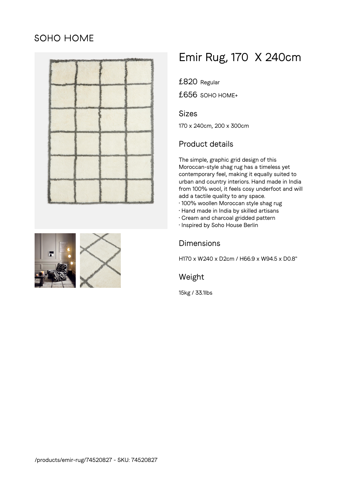# SOHO HOME





£820 Regular

£656 SOHO HOME+

#### Sizes

170 x 240cm, 200 x 300cm

## Product details

The simple, graphic grid design of this Moroccan-style shag rug has a timeless yet contemporary feel, making it equally suited to urban and country interiors. Hand made in India from 100% wool, it feels cosy underfoot and will add a tactile quality to any space.

- 100% woollen Moroccan style shag rug
- Hand made in India by skilled artisans
- Cream and charcoal gridded pattern
- Inspired by Soho House Berlin

#### Dimensions

H170 x W240 x D2cm / H66.9 x W94.5 x D0.8"

Weight

15kg / 33.1lbs